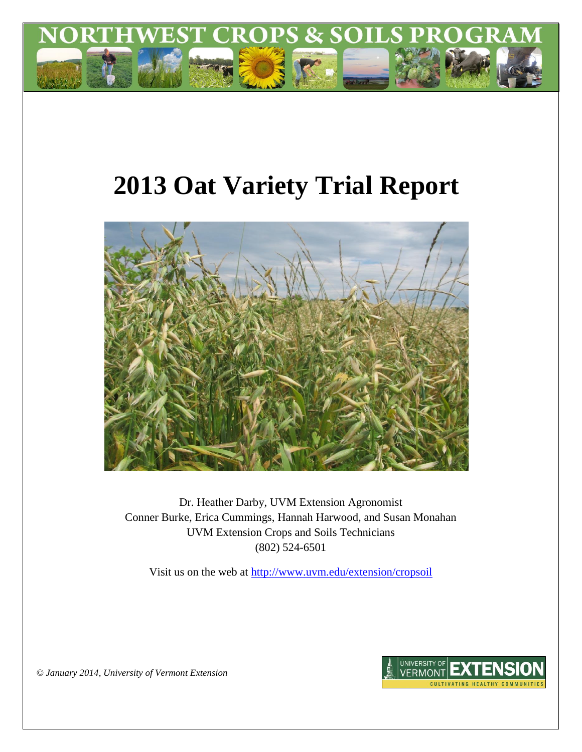

# **2013 Oat Variety Trial Report**



Dr. Heather Darby, UVM Extension Agronomist Conner Burke, Erica Cummings, Hannah Harwood, and Susan Monahan UVM Extension Crops and Soils Technicians (802) 524-6501

Visit us on the web at<http://www.uvm.edu/extension/cropsoil>



*© January 2014, University of Vermont Extension*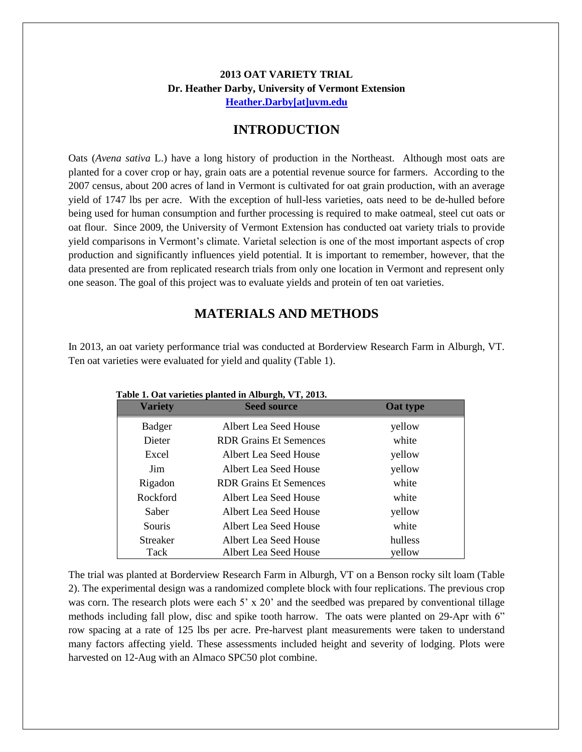### **2013 OAT VARIETY TRIAL Dr. Heather Darby, University of Vermont Extension [Heather.Darby\[at\]uvm.edu](mailto:Heather.Darby@uvm.edu?subject=2012%20Oat%20Variety%20Trial)**

## **INTRODUCTION**

Oats (*Avena sativa* L.) have a long history of production in the Northeast. Although most oats are planted for a cover crop or hay, grain oats are a potential revenue source for farmers. According to the 2007 census, about 200 acres of land in Vermont is cultivated for oat grain production, with an average yield of 1747 lbs per acre. With the exception of hull-less varieties, oats need to be de-hulled before being used for human consumption and further processing is required to make oatmeal, steel cut oats or oat flour. Since 2009, the University of Vermont Extension has conducted oat variety trials to provide yield comparisons in Vermont's climate. Varietal selection is one of the most important aspects of crop production and significantly influences yield potential. It is important to remember, however, that the data presented are from replicated research trials from only one location in Vermont and represent only one season. The goal of this project was to evaluate yields and protein of ten oat varieties.

# **MATERIALS AND METHODS**

In 2013, an oat variety performance trial was conducted at Borderview Research Farm in Alburgh, VT. Ten oat varieties were evaluated for yield and quality (Table 1).

| <b>Variety</b>  | rabie 1. Oat varielies planted in Alburgii, v 1, 2013.<br><b>Seed source</b> | Oat type |
|-----------------|------------------------------------------------------------------------------|----------|
| <b>Badger</b>   | Albert Lea Seed House                                                        | yellow   |
| Dieter          | <b>RDR Grains Et Semences</b>                                                | white    |
| Excel           | Albert Lea Seed House                                                        | yellow   |
| Jim             | Albert Lea Seed House                                                        | yellow   |
| Rigadon         | <b>RDR Grains Et Semences</b>                                                | white    |
| Rockford        | Albert Lea Seed House                                                        | white    |
| Saber           | Albert Lea Seed House                                                        | yellow   |
| Souris          | Albert Lea Seed House                                                        | white    |
| <b>Streaker</b> | Albert Lea Seed House                                                        | hulless  |
| Tack            | Albert Lea Seed House                                                        | yellow   |

| Table 1. Oat varieties planted in Alburgh, VT, 2013. |  |  |  |  |  |  |
|------------------------------------------------------|--|--|--|--|--|--|
|------------------------------------------------------|--|--|--|--|--|--|

The trial was planted at Borderview Research Farm in Alburgh, VT on a Benson rocky silt loam (Table 2). The experimental design was a randomized complete block with four replications. The previous crop was corn. The research plots were each 5' x 20' and the seedbed was prepared by conventional tillage methods including fall plow, disc and spike tooth harrow. The oats were planted on 29-Apr with 6" row spacing at a rate of 125 lbs per acre. Pre-harvest plant measurements were taken to understand many factors affecting yield. These assessments included height and severity of lodging. Plots were harvested on 12-Aug with an Almaco SPC50 plot combine.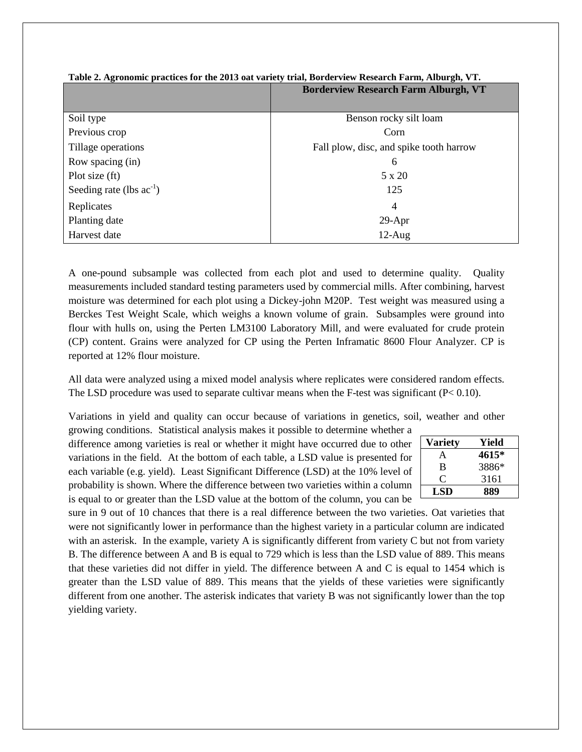| <b>Borderview Research Farm Alburgh, VT</b> |                                         |
|---------------------------------------------|-----------------------------------------|
|                                             |                                         |
| Soil type                                   | Benson rocky silt loam                  |
| Previous crop                               | Corn                                    |
| Tillage operations                          | Fall plow, disc, and spike tooth harrow |
| Row spacing (in)                            | 6                                       |
| Plot size $(ft)$                            | 5 x 20                                  |
| Seeding rate (lbs $ac^{-1}$ )               | 125                                     |
| Replicates                                  | $\overline{4}$                          |
| Planting date                               | $29-Apr$                                |
| Harvest date                                | $12-Aug$                                |

#### **Table 2. Agronomic practices for the 2013 oat variety trial, Borderview Research Farm, Alburgh, VT.**

A one-pound subsample was collected from each plot and used to determine quality. Quality measurements included standard testing parameters used by commercial mills. After combining, harvest moisture was determined for each plot using a Dickey-john M20P. Test weight was measured using a Berckes Test Weight Scale, which weighs a known volume of grain. Subsamples were ground into flour with hulls on, using the Perten LM3100 Laboratory Mill, and were evaluated for crude protein (CP) content. Grains were analyzed for CP using the Perten Inframatic 8600 Flour Analyzer. CP is reported at 12% flour moisture.

All data were analyzed using a mixed model analysis where replicates were considered random effects. The LSD procedure was used to separate cultivar means when the F-test was significant  $(P< 0.10)$ .

Variations in yield and quality can occur because of variations in genetics, soil, weather and other

growing conditions. Statistical analysis makes it possible to determine whether a difference among varieties is real or whether it might have occurred due to other variations in the field. At the bottom of each table, a LSD value is presented for each variable (e.g. yield). Least Significant Difference (LSD) at the 10% level of probability is shown. Where the difference between two varieties within a column is equal to or greater than the LSD value at the bottom of the column, you can be

| <b>Variety</b> | Yield |
|----------------|-------|
| A              | 4615* |
| B              | 3886* |
| 0              | 3161  |
| LSD            | 889   |

sure in 9 out of 10 chances that there is a real difference between the two varieties. Oat varieties that were not significantly lower in performance than the highest variety in a particular column are indicated with an asterisk. In the example, variety A is significantly different from variety C but not from variety B. The difference between A and B is equal to 729 which is less than the LSD value of 889. This means that these varieties did not differ in yield. The difference between A and C is equal to 1454 which is greater than the LSD value of 889. This means that the yields of these varieties were significantly different from one another. The asterisk indicates that variety B was not significantly lower than the top yielding variety.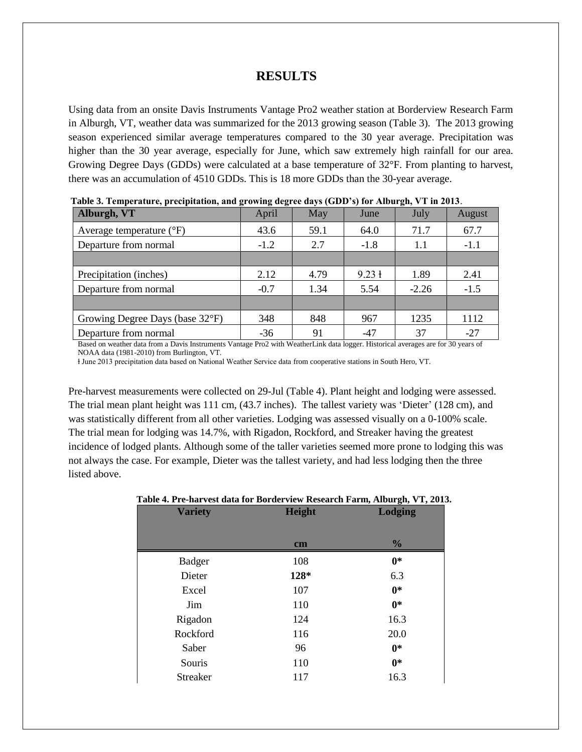## **RESULTS**

Using data from an onsite Davis Instruments Vantage Pro2 weather station at Borderview Research Farm in Alburgh, VT, weather data was summarized for the 2013 growing season (Table 3). The 2013 growing season experienced similar average temperatures compared to the 30 year average. Precipitation was higher than the 30 year average, especially for June, which saw extremely high rainfall for our area. Growing Degree Days (GDDs) were calculated at a base temperature of 32°F. From planting to harvest, there was an accumulation of 4510 GDDs. This is 18 more GDDs than the 30-year average.

| Tabic 5. Temperature, precipitation, and growing degree days (GDD-5) for Alburgh, VT in 2015. |        |            |        |         |        |
|-----------------------------------------------------------------------------------------------|--------|------------|--------|---------|--------|
| Alburgh, VT                                                                                   | April  | <b>May</b> | June   | July    | August |
| Average temperature $(^{\circ}F)$                                                             | 43.6   | 59.1       | 64.0   | 71.7    | 67.7   |
| Departure from normal                                                                         | $-1.2$ | 2.7        | $-1.8$ | 1.1     | $-1.1$ |
|                                                                                               |        |            |        |         |        |
| Precipitation (inches)                                                                        | 2.12   | 4.79       | 9.23 + | 1.89    | 2.41   |
| Departure from normal                                                                         | $-0.7$ | 1.34       | 5.54   | $-2.26$ | $-1.5$ |
|                                                                                               |        |            |        |         |        |
| Growing Degree Days (base 32°F)                                                               | 348    | 848        | 967    | 1235    | 1112   |
| Departure from normal                                                                         | $-36$  | 91         | $-47$  | 37      | $-27$  |

**Table 3. Temperature, precipitation, and growing degree days (GDD's) for Alburgh, VT in 2013**.

Based on weather data from a Davis Instruments Vantage Pro2 with WeatherLink data logger. Historical averages are for 30 years of NOAA data (1981-2010) from Burlington, VT.

ⱡ June 2013 precipitation data based on National Weather Service data from cooperative stations in South Hero, VT.

Pre-harvest measurements were collected on 29-Jul (Table 4). Plant height and lodging were assessed. The trial mean plant height was 111 cm, (43.7 inches). The tallest variety was 'Dieter' (128 cm), and was statistically different from all other varieties. Lodging was assessed visually on a 0-100% scale. The trial mean for lodging was 14.7%, with Rigadon, Rockford, and Streaker having the greatest incidence of lodged plants. Although some of the taller varieties seemed more prone to lodging this was not always the case. For example, Dieter was the tallest variety, and had less lodging then the three listed above.

#### **Table 4. Pre-harvest data for Borderview Research Farm, Alburgh, VT, 2013.**

| <b>Variety</b>  | Height        | <b>Lodging</b> |
|-----------------|---------------|----------------|
|                 |               |                |
|                 | $\mathbf{cm}$ | $\frac{0}{0}$  |
| Badger          | 108           | $0*$           |
| Dieter          | 128*          | 6.3            |
| Excel           | 107           | $0*$           |
| Jim             | 110           | $0*$           |
| Rigadon         | 124           | 16.3           |
| Rockford        | 116           | 20.0           |
| Saber           | 96            | $0*$           |
| Souris          | 110           | $0*$           |
| <b>Streaker</b> | 117           | 16.3           |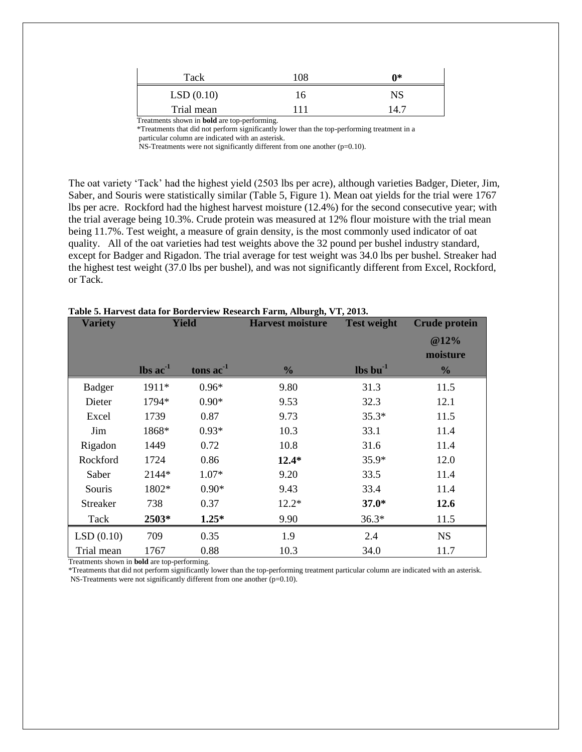| Tack                                                | 108 | ∩*   |
|-----------------------------------------------------|-----|------|
| LSD(0.10)                                           | Iб  | NS   |
| Trial mean                                          |     | 14.7 |
| Treatments shown in <b>bold</b> are top-performing. |     |      |

 \*Treatments that did not perform significantly lower than the top-performing treatment in a particular column are indicated with an asterisk.

NS-Treatments were not significantly different from one another (p=0.10).

The oat variety 'Tack' had the highest yield (2503 lbs per acre), although varieties Badger, Dieter, Jim, Saber, and Souris were statistically similar (Table 5, Figure 1). Mean oat yields for the trial were 1767 lbs per acre. Rockford had the highest harvest moisture (12.4%) for the second consecutive year; with the trial average being 10.3%. Crude protein was measured at 12% flour moisture with the trial mean being 11.7%. Test weight, a measure of grain density, is the most commonly used indicator of oat quality. All of the oat varieties had test weights above the 32 pound per bushel industry standard, except for Badger and Rigadon. The trial average for test weight was 34.0 lbs per bushel. Streaker had the highest test weight (37.0 lbs per bushel), and was not significantly different from Excel, Rockford, or Tack.

| <b>Variety</b>  | <b>Yield</b>                     |             | <b>Harvest moisture</b> | <b>Test weight</b>             | <b>Crude protein</b> |
|-----------------|----------------------------------|-------------|-------------------------|--------------------------------|----------------------|
|                 |                                  |             |                         |                                | @12%                 |
|                 |                                  |             |                         |                                | moisture             |
|                 | $\mathbf{lbs}\ \mathbf{ac}^{-1}$ | tons $ac-1$ | $\frac{0}{0}$           | $\mathbf{lbs}\mathbf{bu}^{-1}$ | $\frac{0}{0}$        |
| <b>Badger</b>   | 1911*                            | $0.96*$     | 9.80                    | 31.3                           | 11.5                 |
| Dieter          | 1794*                            | $0.90*$     | 9.53                    | 32.3                           | 12.1                 |
| Excel           | 1739                             | 0.87        | 9.73                    | $35.3*$                        | 11.5                 |
| Jim             | 1868*                            | $0.93*$     | 10.3                    | 33.1                           | 11.4                 |
| Rigadon         | 1449                             | 0.72        | 10.8                    | 31.6                           | 11.4                 |
| Rockford        | 1724                             | 0.86        | $12.4*$                 | $35.9*$                        | 12.0                 |
| Saber           | 2144*                            | $1.07*$     | 9.20                    | 33.5                           | 11.4                 |
| Souris          | 1802*                            | $0.90*$     | 9.43                    | 33.4                           | 11.4                 |
| <b>Streaker</b> | 738                              | 0.37        | $12.2*$                 | $37.0*$                        | 12.6                 |
| Tack            | 2503*                            | $1.25*$     | 9.90                    | $36.3*$                        | 11.5                 |
| LSD(0.10)       | 709                              | 0.35        | 1.9                     | 2.4                            | <b>NS</b>            |
| Trial mean      | 1767                             | 0.88        | 10.3                    | 34.0                           | 11.7                 |

#### **Table 5. Harvest data for Borderview Research Farm, Alburgh, VT, 2013.**

Treatments shown in **bold** are top-performing.

\*Treatments that did not perform significantly lower than the top-performing treatment particular column are indicated with an asterisk. NS-Treatments were not significantly different from one another (p=0.10).